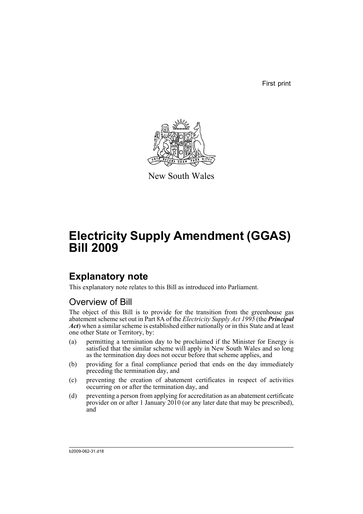First print



New South Wales

# **Electricity Supply Amendment (GGAS) Bill 2009**

## **Explanatory note**

This explanatory note relates to this Bill as introduced into Parliament.

### Overview of Bill

The object of this Bill is to provide for the transition from the greenhouse gas abatement scheme set out in Part 8A of the *Electricity Supply Act 1995* (the *Principal Act*) when a similar scheme is established either nationally or in this State and at least one other State or Territory, by:

- (a) permitting a termination day to be proclaimed if the Minister for Energy is satisfied that the similar scheme will apply in New South Wales and so long as the termination day does not occur before that scheme applies, and
- (b) providing for a final compliance period that ends on the day immediately preceding the termination day, and
- (c) preventing the creation of abatement certificates in respect of activities occurring on or after the termination day, and
- (d) preventing a person from applying for accreditation as an abatement certificate provider on or after 1 January 2010 (or any later date that may be prescribed), and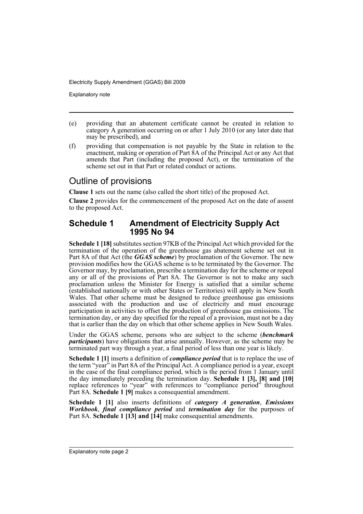Explanatory note

- (e) providing that an abatement certificate cannot be created in relation to category A generation occurring on or after 1 July 2010 (or any later date that may be prescribed), and
- (f) providing that compensation is not payable by the State in relation to the enactment, making or operation of Part 8A of the Principal Act or any Act that amends that Part (including the proposed Act), or the termination of the scheme set out in that Part or related conduct or actions.

### Outline of provisions

**Clause 1** sets out the name (also called the short title) of the proposed Act.

**Clause 2** provides for the commencement of the proposed Act on the date of assent to the proposed Act.

#### **Schedule 1 Amendment of Electricity Supply Act 1995 No 94**

**Schedule 1 [18]** substitutes section 97KB of the Principal Act which provided for the termination of the operation of the greenhouse gas abatement scheme set out in Part 8A of that Act (the **GGAS scheme**) by proclamation of the Governor. The new provision modifies how the GGAS scheme is to be terminated by the Governor. The Governor may, by proclamation, prescribe a termination day for the scheme or repeal any or all of the provisions of Part 8A. The Governor is not to make any such proclamation unless the Minister for Energy is satisfied that a similar scheme (established nationally or with other States or Territories) will apply in New South Wales. That other scheme must be designed to reduce greenhouse gas emissions associated with the production and use of electricity and must encourage participation in activities to offset the production of greenhouse gas emissions. The termination day, or any day specified for the repeal of a provision, must not be a day that is earlier than the day on which that other scheme applies in New South Wales.

Under the GGAS scheme, persons who are subject to the scheme (*benchmark participants*) have obligations that arise annually. However, as the scheme may be terminated part way through a year, a final period of less than one year is likely.

**Schedule 1 [1]** inserts a definition of *compliance period* that is to replace the use of the term "year" in Part 8A of the Principal Act. A compliance period is a year, except in the case of the final compliance period, which is the period from 1 January until the day immediately preceding the termination day. **Schedule 1 [3], [8] and [10]** replace references to "year" with references to "compliance period" throughout Part 8A. **Schedule 1 [9]** makes a consequential amendment.

**Schedule 1 [1]** also inserts definitions of *category A generation*, *Emissions Workbook*, *final compliance period* and *termination day* for the purposes of Part 8A. **Schedule 1 [13] and [14]** make consequential amendments.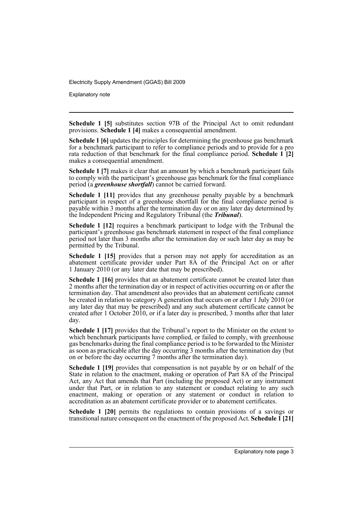Explanatory note

**Schedule 1 [5]** substitutes section 97B of the Principal Act to omit redundant provisions. **Schedule 1 [4]** makes a consequential amendment.

**Schedule 1 [6]** updates the principles for determining the greenhouse gas benchmark for a benchmark participant to refer to compliance periods and to provide for a pro rata reduction of that benchmark for the final compliance period. **Schedule 1 [2]** makes a consequential amendment.

**Schedule 1 [7]** makes it clear that an amount by which a benchmark participant fails to comply with the participant's greenhouse gas benchmark for the final compliance period (a *greenhouse shortfall*) cannot be carried forward.

**Schedule 1 [11]** provides that any greenhouse penalty payable by a benchmark participant in respect of a greenhouse shortfall for the final compliance period is payable within 3 months after the termination day or on any later day determined by the Independent Pricing and Regulatory Tribunal (the *Tribunal*).

**Schedule 1 [12]** requires a benchmark participant to lodge with the Tribunal the participant's greenhouse gas benchmark statement in respect of the final compliance period not later than 3 months after the termination day or such later day as may be permitted by the Tribunal.

**Schedule 1 [15]** provides that a person may not apply for accreditation as an abatement certificate provider under Part 8A of the Principal Act on or after 1 January 2010 (or any later date that may be prescribed).

**Schedule 1 [16]** provides that an abatement certificate cannot be created later than 2 months after the termination day or in respect of activities occurring on or after the termination day. That amendment also provides that an abatement certificate cannot be created in relation to category A generation that occurs on or after 1 July 2010 (or any later day that may be prescribed) and any such abatement certificate cannot be created after 1 October 2010, or if a later day is prescribed, 3 months after that later day.

**Schedule 1 [17]** provides that the Tribunal's report to the Minister on the extent to which benchmark participants have complied, or failed to comply, with greenhouse gas benchmarks during the final compliance period is to be forwarded to the Minister as soon as practicable after the day occurring 3 months after the termination day (but on or before the day occurring 7 months after the termination day).

**Schedule 1 [19]** provides that compensation is not payable by or on behalf of the State in relation to the enactment, making or operation of Part 8A of the Principal Act, any Act that amends that Part (including the proposed Act) or any instrument under that Part, or in relation to any statement or conduct relating to any such enactment, making or operation or any statement or conduct in relation to accreditation as an abatement certificate provider or to abatement certificates.

**Schedule 1 [20]** permits the regulations to contain provisions of a savings or transitional nature consequent on the enactment of the proposed Act. **Schedule 1 [21]**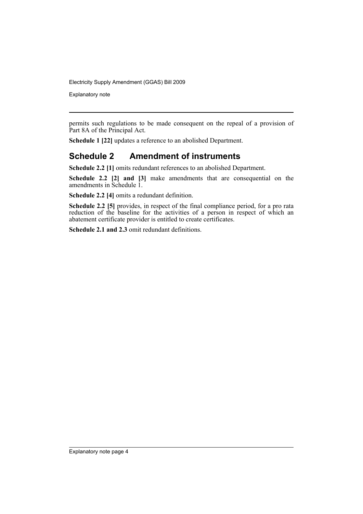Explanatory note

permits such regulations to be made consequent on the repeal of a provision of Part 8A of the Principal Act.

**Schedule 1 [22]** updates a reference to an abolished Department.

#### **Schedule 2 Amendment of instruments**

**Schedule 2.2 [1]** omits redundant references to an abolished Department.

**Schedule 2.2 [2] and [3]** make amendments that are consequential on the amendments in Schedule 1.

**Schedule 2.2 [4]** omits a redundant definition.

**Schedule 2.2** [5] provides, in respect of the final compliance period, for a pro rata reduction of the baseline for the activities of a person in respect of which an abatement certificate provider is entitled to create certificates.

**Schedule 2.1 and 2.3** omit redundant definitions.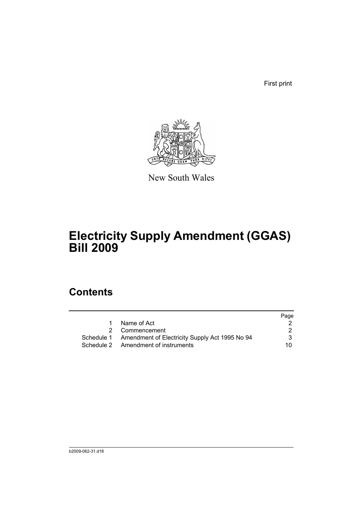First print



New South Wales

# **Electricity Supply Amendment (GGAS) Bill 2009**

### **Contents**

|                                                           | Page |
|-----------------------------------------------------------|------|
| Name of Act                                               |      |
| 2 Commencement                                            |      |
| Schedule 1 Amendment of Electricity Supply Act 1995 No 94 |      |
| Schedule 2 Amendment of instruments                       | 10.  |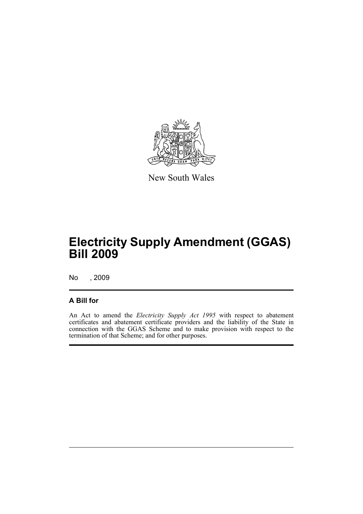

New South Wales

## **Electricity Supply Amendment (GGAS) Bill 2009**

No , 2009

#### **A Bill for**

An Act to amend the *Electricity Supply Act 1995* with respect to abatement certificates and abatement certificate providers and the liability of the State in connection with the GGAS Scheme and to make provision with respect to the termination of that Scheme; and for other purposes.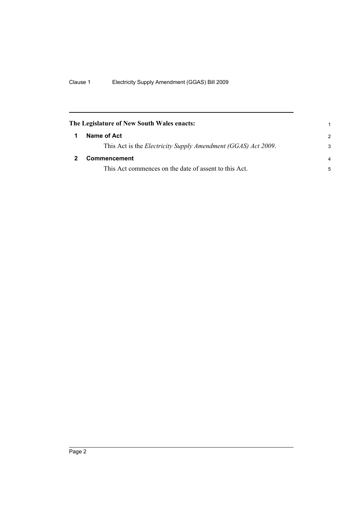<span id="page-7-1"></span><span id="page-7-0"></span>

| The Legislature of New South Wales enacts: |                                                                       |                |
|--------------------------------------------|-----------------------------------------------------------------------|----------------|
|                                            | Name of Act                                                           | $\mathcal{P}$  |
|                                            | This Act is the <i>Electricity Supply Amendment (GGAS) Act 2009</i> . | 3              |
|                                            | <b>Commencement</b>                                                   | $\overline{a}$ |
|                                            | This Act commences on the date of assent to this Act.                 | 5              |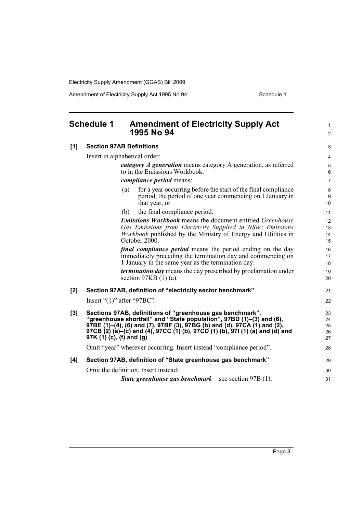<span id="page-8-0"></span>

| <b>Schedule 1</b> |                          | <b>Amendment of Electricity Supply Act</b><br>1995 No 94                                                                                                                                                                                                                                       | $\mathbf{1}$<br>$\overline{2}$ |
|-------------------|--------------------------|------------------------------------------------------------------------------------------------------------------------------------------------------------------------------------------------------------------------------------------------------------------------------------------------|--------------------------------|
| [1]               |                          | <b>Section 97AB Definitions</b>                                                                                                                                                                                                                                                                | 3                              |
|                   |                          | Insert in alphabetical order:                                                                                                                                                                                                                                                                  | $\overline{4}$                 |
|                   |                          | category A generation means category A generation, as referred<br>to in the Emissions Workbook.                                                                                                                                                                                                | 5<br>6                         |
|                   |                          | <i>compliance period</i> means:                                                                                                                                                                                                                                                                | $\overline{7}$                 |
|                   |                          | for a year occurring before the start of the final compliance<br>(a)<br>period, the period of one year commencing on 1 January in<br>that year, or                                                                                                                                             | 8<br>9<br>10                   |
|                   |                          | the final compliance period.<br>(b)                                                                                                                                                                                                                                                            | 11                             |
|                   |                          | <b>Emissions Workbook</b> means the document entitled <i>Greenhouse</i><br>Gas Emissions from Electricity Supplied in NSW: Emissions<br><i>Workbook</i> published by the Ministry of Energy and Utilities in<br>October 2000.                                                                  | 12<br>13<br>14<br>15           |
|                   |                          | <i>final compliance period</i> means the period ending on the day<br>immediately preceding the termination day and commencing on<br>1 January in the same year as the termination day.                                                                                                         | 16<br>17<br>18                 |
|                   |                          | <i>termination day</i> means the day prescribed by proclamation under<br>section $97KB(1)(a)$ .                                                                                                                                                                                                | 19<br>20                       |
| [2]               |                          | Section 97AB, definition of "electricity sector benchmark"                                                                                                                                                                                                                                     | 21                             |
|                   |                          | Insert " $(1)$ " after "97BC".                                                                                                                                                                                                                                                                 | 22                             |
| $[3]$             | 97K (1) (c), (f) and (g) | Sections 97AB, definitions of "greenhouse gas benchmark",<br>"greenhouse shortfall" and "State population", 97BD (1)–(3) and (6),<br>97BE (1)–(4), (6) and (7), 97BF (3), 97BG (b) and (d), 97CA (1) and (2),<br>97CB (2) (a)-(c) and (4), 97CC (1) (b), 97CD (1) (b), 97I (1) (a) and (d) and | 23<br>24<br>25<br>26<br>27     |
|                   |                          | Omit "year" wherever occurring. Insert instead "compliance period".                                                                                                                                                                                                                            | 28                             |
| [4]               |                          | Section 97AB, definition of "State greenhouse gas benchmark"                                                                                                                                                                                                                                   | 29                             |
|                   |                          | Omit the definition. Insert instead:                                                                                                                                                                                                                                                           | 30                             |
|                   |                          | <b>State greenhouse gas benchmark—see section 97B (1).</b>                                                                                                                                                                                                                                     | 31                             |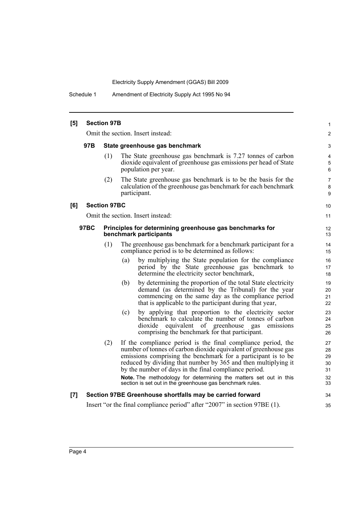Schedule 1 Amendment of Electricity Supply Act 1995 No 94

| [5] |             | <b>Section 97B</b>  |                                                                                                                                                                                                                                                                                                                             | 1                          |
|-----|-------------|---------------------|-----------------------------------------------------------------------------------------------------------------------------------------------------------------------------------------------------------------------------------------------------------------------------------------------------------------------------|----------------------------|
|     |             |                     | Omit the section. Insert instead:                                                                                                                                                                                                                                                                                           | 2                          |
|     | 97B         |                     | State greenhouse gas benchmark                                                                                                                                                                                                                                                                                              | 3                          |
|     |             | (1)                 | The State greenhouse gas benchmark is 7.27 tonnes of carbon<br>dioxide equivalent of greenhouse gas emissions per head of State<br>population per year.                                                                                                                                                                     | 4<br>5<br>6                |
|     |             | (2)                 | The State greenhouse gas benchmark is to be the basis for the<br>calculation of the greenhouse gas benchmark for each benchmark<br>participant.                                                                                                                                                                             | $\overline{7}$<br>8<br>9   |
| [6] |             | <b>Section 97BC</b> |                                                                                                                                                                                                                                                                                                                             | 10                         |
|     |             |                     | Omit the section. Insert instead:                                                                                                                                                                                                                                                                                           | 11                         |
|     | <b>97BC</b> |                     | Principles for determining greenhouse gas benchmarks for<br>benchmark participants                                                                                                                                                                                                                                          | 12<br>13                   |
|     |             | (1)                 | The greenhouse gas benchmark for a benchmark participant for a<br>compliance period is to be determined as follows:                                                                                                                                                                                                         | 14<br>15                   |
|     |             |                     | by multiplying the State population for the compliance<br>(a)<br>period by the State greenhouse gas benchmark to<br>determine the electricity sector benchmark,                                                                                                                                                             | 16<br>17<br>18             |
|     |             |                     | by determining the proportion of the total State electricity<br>(b)<br>demand (as determined by the Tribunal) for the year<br>commencing on the same day as the compliance period<br>that is applicable to the participant during that year,                                                                                | 19<br>20<br>21<br>22       |
|     |             |                     | by applying that proportion to the electricity sector<br>(c)<br>benchmark to calculate the number of tonnes of carbon<br>dioxide equivalent of greenhouse<br>emissions<br>gas<br>comprising the benchmark for that participant.                                                                                             | 23<br>24<br>25<br>26       |
|     |             | (2)                 | If the compliance period is the final compliance period, the<br>number of tonnes of carbon dioxide equivalent of greenhouse gas<br>emissions comprising the benchmark for a participant is to be<br>reduced by dividing that number by 365 and then multiplying it<br>by the number of days in the final compliance period. | 27<br>28<br>29<br>30<br>31 |
|     |             |                     | Note. The methodology for determining the matters set out in this<br>section is set out in the greenhouse gas benchmark rules.                                                                                                                                                                                              | 32<br>33                   |
| [7] |             |                     | Section 97BE Greenhouse shortfalls may be carried forward                                                                                                                                                                                                                                                                   | 34                         |
|     |             |                     | Insert "or the final compliance period" after "2007" in section 97BE (1).                                                                                                                                                                                                                                                   | 35                         |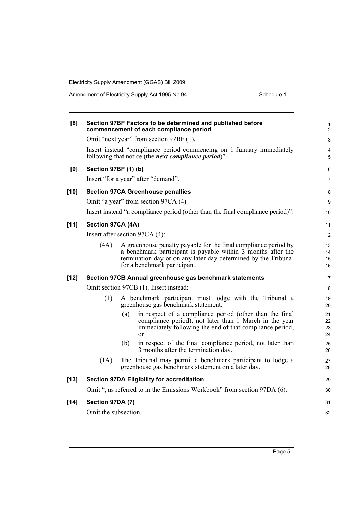| [8]    |                      | Section 97BF Factors to be determined and published before<br>commencement of each compliance period                                                                                                                              | 1<br>$\overline{c}$  |
|--------|----------------------|-----------------------------------------------------------------------------------------------------------------------------------------------------------------------------------------------------------------------------------|----------------------|
|        |                      | Omit "next year" from section 97BF (1).                                                                                                                                                                                           | 3                    |
|        |                      | Insert instead "compliance period commencing on 1 January immediately<br>following that notice (the <i>next compliance period</i> )".                                                                                             | 4<br>5               |
| [9]    | Section 97BF (1) (b) |                                                                                                                                                                                                                                   | 6                    |
|        |                      | Insert "for a year" after "demand".                                                                                                                                                                                               | 7                    |
| $[10]$ |                      | <b>Section 97CA Greenhouse penalties</b>                                                                                                                                                                                          | 8                    |
|        |                      | Omit "a year" from section 97CA (4).                                                                                                                                                                                              | 9                    |
|        |                      | Insert instead "a compliance period (other than the final compliance period)".                                                                                                                                                    | 10                   |
| $[11]$ | Section 97CA (4A)    |                                                                                                                                                                                                                                   | 11                   |
|        |                      | Insert after section 97CA (4):                                                                                                                                                                                                    | 12                   |
|        | (4A)                 | A greenhouse penalty payable for the final compliance period by<br>a benchmark participant is payable within 3 months after the<br>termination day or on any later day determined by the Tribunal<br>for a benchmark participant. | 13<br>14<br>15<br>16 |
| $[12]$ |                      | Section 97CB Annual greenhouse gas benchmark statements                                                                                                                                                                           | 17                   |
|        |                      | Omit section 97CB (1). Insert instead:                                                                                                                                                                                            | 18                   |
|        | (1)                  | A benchmark participant must lodge with the Tribunal a<br>greenhouse gas benchmark statement:                                                                                                                                     | 19<br>20             |
|        |                      | (a)<br>in respect of a compliance period (other than the final<br>compliance period), not later than 1 March in the year<br>immediately following the end of that compliance period,<br><sub>or</sub>                             | 21<br>22<br>23<br>24 |
|        |                      | in respect of the final compliance period, not later than<br>(b)<br>3 months after the termination day.                                                                                                                           | 25<br>26             |
|        | (1A)                 | The Tribunal may permit a benchmark participant to lodge a<br>greenhouse gas benchmark statement on a later day.                                                                                                                  | 27<br>28             |
| $[13]$ |                      | <b>Section 97DA Eligibility for accreditation</b>                                                                                                                                                                                 | 29                   |
|        |                      | Omit ", as referred to in the Emissions Workbook" from section 97DA (6).                                                                                                                                                          | 30                   |
| $[14]$ | Section 97DA (7)     |                                                                                                                                                                                                                                   | 31                   |
|        | Omit the subsection. |                                                                                                                                                                                                                                   | 32                   |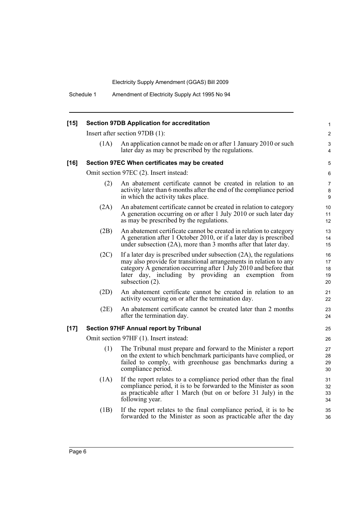| $[15]$ | <b>Section 97DB Application for accreditation</b> |                                                                                                                                                                                                                                                                                               |                             |
|--------|---------------------------------------------------|-----------------------------------------------------------------------------------------------------------------------------------------------------------------------------------------------------------------------------------------------------------------------------------------------|-----------------------------|
|        |                                                   | Insert after section 97DB (1):                                                                                                                                                                                                                                                                | $\mathbf{2}$                |
|        | (1A)                                              | An application cannot be made on or after 1 January 2010 or such<br>later day as may be prescribed by the regulations.                                                                                                                                                                        | 3<br>4                      |
| $[16]$ |                                                   | Section 97EC When certificates may be created                                                                                                                                                                                                                                                 | 5                           |
|        |                                                   | Omit section 97EC (2). Insert instead:                                                                                                                                                                                                                                                        | 6                           |
|        | (2)                                               | An abatement certificate cannot be created in relation to an<br>activity later than 6 months after the end of the compliance period<br>in which the activity takes place.                                                                                                                     | $\overline{7}$<br>8<br>9    |
|        | (2A)                                              | An abatement certificate cannot be created in relation to category<br>A generation occurring on or after 1 July 2010 or such later day<br>as may be prescribed by the regulations.                                                                                                            | 10<br>11<br>12 <sup>2</sup> |
|        | (2B)                                              | An abatement certificate cannot be created in relation to category<br>A generation after 1 October 2010, or if a later day is prescribed<br>under subsection (2A), more than 3 months after that later day.                                                                                   | 13<br>14<br>15              |
|        | (2C)                                              | If a later day is prescribed under subsection $(2A)$ , the regulations<br>may also provide for transitional arrangements in relation to any<br>category A generation occurring after 1 July 2010 and before that<br>later day, including by providing an exemption from<br>subsection $(2)$ . | 16<br>17<br>18<br>19<br>20  |
|        | (2D)                                              | An abatement certificate cannot be created in relation to an<br>activity occurring on or after the termination day.                                                                                                                                                                           | 21<br>22                    |
|        | (2E)                                              | An abatement certificate cannot be created later than 2 months<br>after the termination day.                                                                                                                                                                                                  | 23<br>24                    |
| $[17]$ |                                                   | <b>Section 97HF Annual report by Tribunal</b>                                                                                                                                                                                                                                                 | 25                          |
|        |                                                   | Omit section 97HF (1). Insert instead:                                                                                                                                                                                                                                                        | 26                          |
|        | (1)                                               | The Tribunal must prepare and forward to the Minister a report<br>on the extent to which benchmark participants have complied, or<br>failed to comply, with greenhouse gas benchmarks during a<br>compliance period.                                                                          | 27<br>28<br>29<br>30        |
|        | (1A)                                              | If the report relates to a compliance period other than the final<br>compliance period, it is to be forwarded to the Minister as soon<br>as practicable after 1 March (but on or before 31 July) in the<br>following year.                                                                    | 31<br>32<br>33<br>34        |
|        | (1B)                                              | If the report relates to the final compliance period, it is to be<br>forwarded to the Minister as soon as practicable after the day                                                                                                                                                           | 35<br>36                    |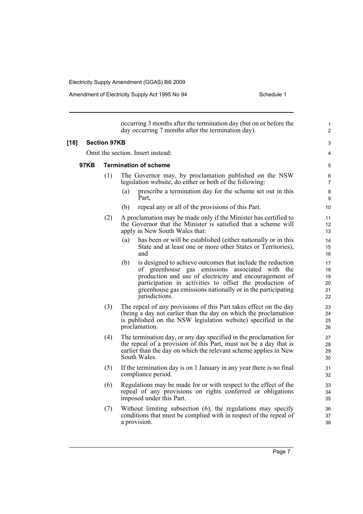|        |             |                     | occurring 3 months after the termination day (but on or before the<br>day occurring 7 months after the termination day).                                                                                                                                                                                                   | 1<br>2                           |
|--------|-------------|---------------------|----------------------------------------------------------------------------------------------------------------------------------------------------------------------------------------------------------------------------------------------------------------------------------------------------------------------------|----------------------------------|
| $[18]$ |             | <b>Section 97KB</b> |                                                                                                                                                                                                                                                                                                                            | 3                                |
|        |             |                     | Omit the section. Insert instead:                                                                                                                                                                                                                                                                                          | 4                                |
|        | <b>97KB</b> |                     | <b>Termination of scheme</b>                                                                                                                                                                                                                                                                                               | 5                                |
|        |             | (1)                 | The Governor may, by proclamation published on the NSW<br>legislation website, do either or both of the following:                                                                                                                                                                                                         | 6<br>$\overline{7}$              |
|        |             |                     | (a)<br>prescribe a termination day for the scheme set out in this<br>Part.                                                                                                                                                                                                                                                 | 8<br>9                           |
|        |             |                     | repeal any or all of the provisions of this Part.<br>(b)                                                                                                                                                                                                                                                                   | 10                               |
|        |             | (2)                 | A proclamation may be made only if the Minister has certified to<br>the Governor that the Minister is satisfied that a scheme will<br>apply in New South Wales that:                                                                                                                                                       | 11<br>12<br>13                   |
|        |             |                     | has been or will be established (either nationally or in this<br>(a)<br>State and at least one or more other States or Territories),<br>and                                                                                                                                                                                | 14<br>15<br>16                   |
|        |             |                     | is designed to achieve outcomes that include the reduction<br>(b)<br>of greenhouse gas emissions associated with the<br>production and use of electricity and encouragement of<br>participation in activities to offset the production of<br>greenhouse gas emissions nationally or in the participating<br>jurisdictions. | 17<br>18<br>19<br>20<br>21<br>22 |
|        |             | (3)                 | The repeal of any provisions of this Part takes effect on the day<br>(being a day not earlier than the day on which the proclamation<br>is published on the NSW legislation website) specified in the<br>proclamation.                                                                                                     | 23<br>24<br>25<br>26             |
|        |             | (4)                 | The termination day, or any day specified in the proclamation for<br>the repeal of a provision of this Part, must not be a day that is<br>earlier than the day on which the relevant scheme applies in New<br>South Wales.                                                                                                 | 27<br>28<br>29<br>30             |
|        |             | (5)                 | If the termination day is on 1 January in any year there is no final<br>compliance period.                                                                                                                                                                                                                                 | 31<br>32                         |
|        |             | (6)                 | Regulations may be made for or with respect to the effect of the<br>repeal of any provisions on rights conferred or obligations<br>imposed under this Part.                                                                                                                                                                | 33<br>34<br>35                   |
|        |             | (7)                 | Without limiting subsection (6), the regulations may specify<br>conditions that must be complied with in respect of the repeal of<br>a provision.                                                                                                                                                                          | 36<br>37<br>38                   |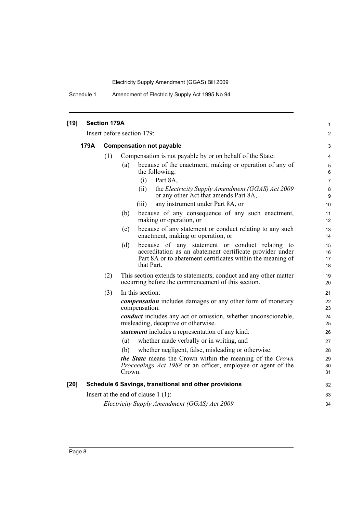Schedule 1 Amendment of Electricity Supply Act 1995 No 94

| $[19]$ |      | <b>Section 179A</b> |                                                                                                                                                                                                | $\mathbf{1}$          |
|--------|------|---------------------|------------------------------------------------------------------------------------------------------------------------------------------------------------------------------------------------|-----------------------|
|        |      |                     | Insert before section 179:                                                                                                                                                                     | $\overline{2}$        |
|        | 179A |                     | <b>Compensation not payable</b>                                                                                                                                                                | 3                     |
|        |      | (1)                 | Compensation is not payable by or on behalf of the State:                                                                                                                                      | $\overline{4}$        |
|        |      |                     | because of the enactment, making or operation of any of<br>(a)<br>the following:                                                                                                               | $\sqrt{5}$<br>6       |
|        |      |                     | Part 8A,<br>(i)                                                                                                                                                                                | $\overline{7}$        |
|        |      |                     | (ii)<br>the Electricity Supply Amendment (GGAS) Act 2009<br>or any other Act that amends Part 8A,                                                                                              | 8<br>$\boldsymbol{9}$ |
|        |      |                     | any instrument under Part 8A, or<br>(iii)                                                                                                                                                      | 10                    |
|        |      |                     | because of any consequence of any such enactment,<br>(b)<br>making or operation, or                                                                                                            | 11<br>12              |
|        |      |                     | because of any statement or conduct relating to any such<br>(c)<br>enactment, making or operation, or                                                                                          | 13<br>14              |
|        |      |                     | because of any statement or conduct relating to<br>(d)<br>accreditation as an abatement certificate provider under<br>Part 8A or to abatement certificates within the meaning of<br>that Part. | 15<br>16<br>17<br>18  |
|        |      | (2)                 | This section extends to statements, conduct and any other matter<br>occurring before the commencement of this section.                                                                         | 19<br>20              |
|        |      | (3)                 | In this section:                                                                                                                                                                               | 21                    |
|        |      |                     | <i>compensation</i> includes damages or any other form of monetary<br>compensation.                                                                                                            | 22<br>23              |
|        |      |                     | <i>conduct</i> includes any act or omission, whether unconscionable,<br>misleading, deceptive or otherwise.                                                                                    | 24<br>25              |
|        |      |                     | statement includes a representation of any kind:                                                                                                                                               | 26                    |
|        |      |                     | whether made verbally or in writing, and<br>(a)                                                                                                                                                | 27                    |
|        |      |                     | (b)<br>whether negligent, false, misleading or otherwise.                                                                                                                                      | 28                    |
|        |      |                     | the State means the Crown within the meaning of the Crown<br>Proceedings Act 1988 or an officer, employee or agent of the<br>Crown.                                                            | 29<br>30<br>31        |
| [20]   |      |                     | Schedule 6 Savings, transitional and other provisions                                                                                                                                          | 32                    |
|        |      |                     | Insert at the end of clause $1(1)$ :                                                                                                                                                           | 33                    |
|        |      |                     | Electricity Supply Amendment (GGAS) Act 2009                                                                                                                                                   | 34                    |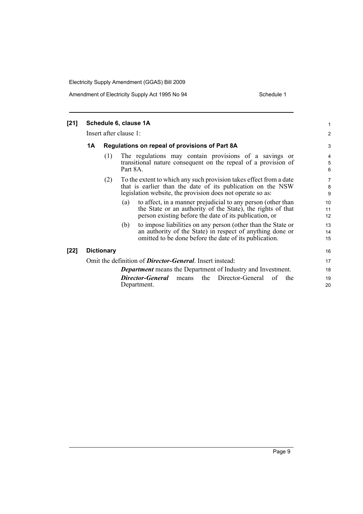| $[21]$ |    |                   | Schedule 6, clause 1A                                                                                                                                                                           | 1              |
|--------|----|-------------------|-------------------------------------------------------------------------------------------------------------------------------------------------------------------------------------------------|----------------|
|        |    |                   | Insert after clause 1:                                                                                                                                                                          | $\overline{c}$ |
|        | 1Α |                   | Regulations on repeal of provisions of Part 8A                                                                                                                                                  | 3              |
|        |    | (1)               | The regulations may contain provisions of a savings or<br>transitional nature consequent on the repeal of a provision of<br>Part 8A.                                                            | 4<br>5<br>6    |
|        |    | (2)               | To the extent to which any such provision takes effect from a date<br>that is earlier than the date of its publication on the NSW<br>legislation website, the provision does not operate so as: | 7<br>8<br>9    |
|        |    |                   | to affect, in a manner prejudicial to any person (other than<br>(a)<br>the State or an authority of the State), the rights of that<br>person existing before the date of its publication, or    | 10<br>11<br>12 |
|        |    |                   | to impose liabilities on any person (other than the State or<br>(b)<br>an authority of the State) in respect of anything done or<br>omitted to be done before the date of its publication.      | 13<br>14<br>15 |
| $[22]$ |    | <b>Dictionary</b> |                                                                                                                                                                                                 | 16             |
|        |    |                   | Omit the definition of <b>Director-General</b> . Insert instead:                                                                                                                                | 17             |
|        |    |                   | <b>Department</b> means the Department of Industry and Investment.                                                                                                                              | 18             |
|        |    |                   | the Director-General<br><b>Director-General</b><br>the<br>of<br>means<br>Department.                                                                                                            | 19<br>20       |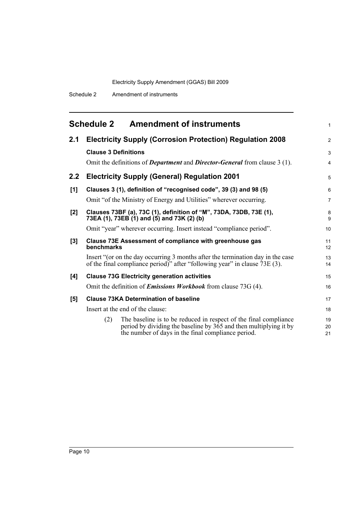<span id="page-15-0"></span>

|     | <b>Schedule 2</b><br><b>Amendment of instruments</b>                                                                                                                                                            | 1              |
|-----|-----------------------------------------------------------------------------------------------------------------------------------------------------------------------------------------------------------------|----------------|
| 2.1 | <b>Electricity Supply (Corrosion Protection) Regulation 2008</b>                                                                                                                                                | $\overline{2}$ |
|     | <b>Clause 3 Definitions</b>                                                                                                                                                                                     | 3              |
|     | Omit the definitions of <i>Department</i> and <i>Director-General</i> from clause 3 (1).                                                                                                                        | 4              |
| 2.2 | <b>Electricity Supply (General) Regulation 2001</b>                                                                                                                                                             | 5              |
| [1] | Clauses 3 (1), definition of "recognised code", 39 (3) and 98 (5)                                                                                                                                               | 6              |
|     | Omit "of the Ministry of Energy and Utilities" wherever occurring.                                                                                                                                              | 7              |
| [2] | Clauses 73BF (a), 73C (1), definition of "M", 73DA, 73DB, 73E (1),<br>73EA (1), 73EB (1) and (5) and 73K (2) (b)                                                                                                | 8<br>9         |
|     | Omit "year" wherever occurring. Insert instead "compliance period".                                                                                                                                             | 10             |
| [3] | Clause 73E Assessment of compliance with greenhouse gas<br>benchmarks                                                                                                                                           | 11<br>12       |
|     | Insert "(or on the day occurring 3 months after the termination day in the case<br>of the final compliance period)" after "following year" in clause $73E(3)$ .                                                 | 13<br>14       |
| [4] | <b>Clause 73G Electricity generation activities</b>                                                                                                                                                             | 15             |
|     | Omit the definition of <i>Emissions Workbook</i> from clause 73G (4).                                                                                                                                           | 16             |
| [5] | <b>Clause 73KA Determination of baseline</b>                                                                                                                                                                    | 17             |
|     | Insert at the end of the clause:                                                                                                                                                                                | 18             |
|     | The baseline is to be reduced in respect of the final compliance<br>(2)<br>period by dividing the baseline by $3\overline{6}5$ and then multiplying it by<br>the number of days in the final compliance period. | 19<br>20<br>21 |